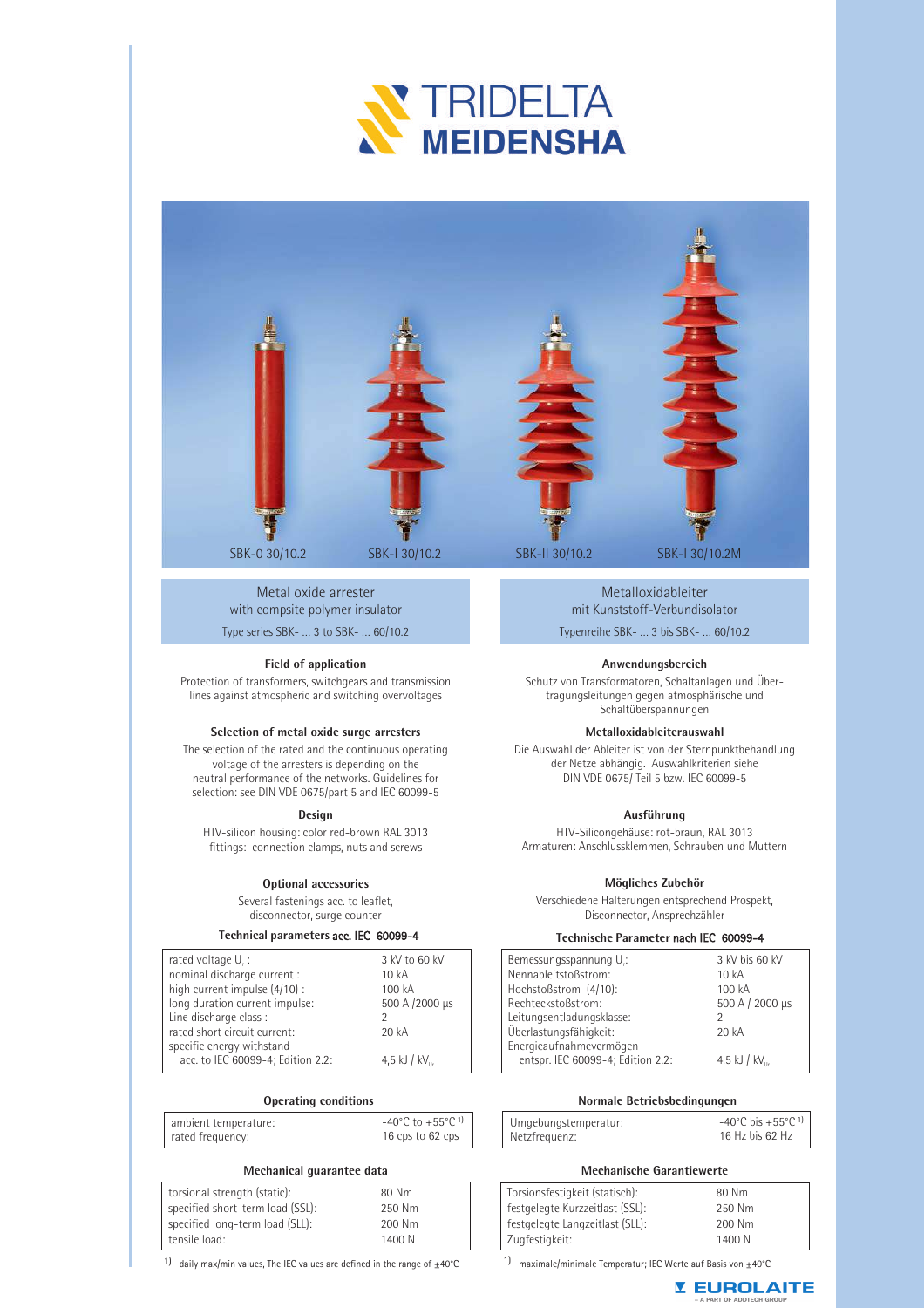



Metal oxide arrester with compsite polymer insulator Type series SBK- … 3 to SBK- … 60/10.2

## **Field of application**

Protection of transformers, switchgears and transmission lines against atmospheric and switching overvoltages

## **Selection of metal oxide surge arresters**

The selection of the rated and the continuous operating voltage of the arresters is depending on the neutral performance of the networks. Guidelines for selection: see DIN VDE 0675/part 5 and IEC 60099-5

#### **Design**

HTV-silicon housing: color red-brown RAL 3013 fittings: connection clamps, nuts and screws

#### **Optional accessories**

Several fastenings acc. to leaflet, disconnector, surge counter

## **Technical parameters acc. IEC 60099-4**

| rated voltage U.:                 | 3 kV to 60 kV      |
|-----------------------------------|--------------------|
| nominal discharge current :       | 10kA               |
| high current impulse (4/10) :     | 100 kA             |
| long duration current impulse:    | 500 A /2000 µs     |
| Line discharge class:             |                    |
| rated short circuit current:      | 20 kA              |
| specific energy withstand         |                    |
| acc. to IEC 60099-4; Edition 2.2: | 4,5 kJ / $kV_{11}$ |

#### **Operating conditions**

|                           | ambient temperature:<br>rated frequency: | $-40^{\circ}$ C to $+55^{\circ}$ C <sup>1</sup><br>16 cps to 62 cps |  |  |  |  |  |  |  |
|---------------------------|------------------------------------------|---------------------------------------------------------------------|--|--|--|--|--|--|--|
| Mechanical guarantee data |                                          |                                                                     |  |  |  |  |  |  |  |

| torsional strength (static):     | 80 Nm  |
|----------------------------------|--------|
| specified short-term load (SSL): | 250 Nm |
| specified long-term load (SLL):  | 200 Nm |
| tensile load:                    | 1400 N |

1) daily max/min values, The IEC values are defined in the range of  $\pm 40^{\circ}$ C 1) maximale/minimale Temperatur; IEC Werte auf Basis von  $\pm 40^{\circ}$ C

Metalloxidableiter mit Kunststoff-Verbundisolator

Typenreihe SBK- … 3 bis SBK- … 60/10.2

#### **Anwendungsbereich**

Schutz von Transformatoren, Schaltanlagen und Übertragungsleitungen gegen atmosphärische und Schaltüberspannungen

#### **Metalloxidableiterauswahl**

Die Auswahl der Ableiter ist von der Sternpunktbehandlung der Netze abhängig. Auswahlkriterien siehe DIN VDE 0675/ Teil 5 bzw. IEC 60099-5

## **Ausführung**

HTV-Silicongehäuse: rot-braun, RAL 3013 Armaturen: Anschlussklemmen, Schrauben und Muttern

#### **Mögliches Zubehör**

Verschiedene Halterungen entsprechend Prospekt, Disconnector, Ansprechzähler

### **Technische Parameter nach IEC 60099-4**

| Bemessungsspannung U.:            | 3 kV bis 60 kV     |
|-----------------------------------|--------------------|
| Nennableitstoßstrom:              | 10 kA              |
| Hochstoßstrom (4/10):             | 100 kA             |
| Rechteckstoßstrom:                | 500 A / 2000 µs    |
| Leitungsentladungsklasse:         |                    |
| Überlastungsfähigkeit:            | 20 kA              |
| Energieaufnahmevermögen           |                    |
| entspr. IEC 60099-4; Edition 2.2: | 4,5 kJ / $kV_{11}$ |
|                                   |                    |

#### **Normale Betriebsbedingungen**

| Umgebungstemperatur: | $-40^{\circ}$ C bis $+55^{\circ}$ C <sup>1)</sup> |
|----------------------|---------------------------------------------------|
| Netzfrequenz:        | 16 Hz bis 62 Hz                                   |

## **Mechanische Garantiewerte**

| 80 Nm  |
|--------|
| 250 Nm |
| 200 Nm |
| 1400 N |
|        |

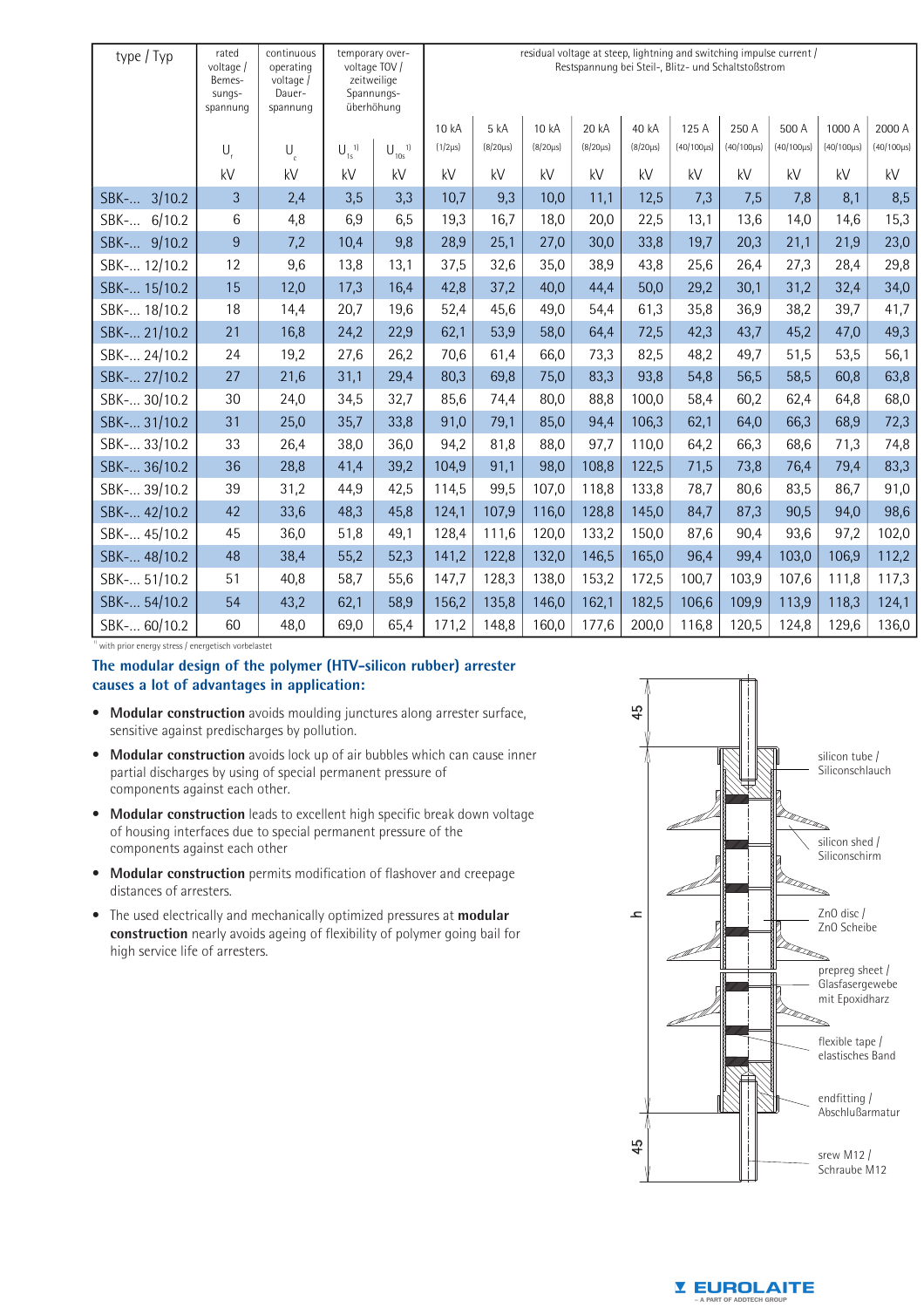| type / Typ        | rated<br>voltage /<br>Bemes-<br>sungs-<br>spannung | continuous<br>operating<br>voltage /<br>Dauer-<br>spannung | temporary over-<br>voltage TOV /<br>zeitweilige<br>Spannungs-<br>überhöhung |               | residual voltage at steep, lightning and switching impulse current /<br>Restspannung bei Steil-, Blitz- und Schaltstoßstrom |                        |                         |                         |                         |                           |                           |                           |                            |                            |
|-------------------|----------------------------------------------------|------------------------------------------------------------|-----------------------------------------------------------------------------|---------------|-----------------------------------------------------------------------------------------------------------------------------|------------------------|-------------------------|-------------------------|-------------------------|---------------------------|---------------------------|---------------------------|----------------------------|----------------------------|
|                   | U.                                                 | $\bigcup_{c}$                                              | $U_{1s}^{1}$                                                                | $U_{10s}^{1}$ |                                                                                                                             | 5 kA<br>$(8/20 \mu s)$ | 10 kA<br>$(8/20 \mu s)$ | 20 kA<br>$(8/20 \mu s)$ | 40 kA<br>$(8/20 \mu s)$ | 125 A<br>$(40/100 \mu s)$ | 250 A<br>$(40/100 \mu s)$ | 500 A<br>$(40/100 \mu s)$ | 1000 A<br>$(40/100 \mu s)$ | 2000 A<br>$(40/100 \mu s)$ |
|                   | kV                                                 | kV                                                         | kV                                                                          | kV            | kV                                                                                                                          | kV                     | kV                      | kV                      | kV                      | kV                        | kV                        | kV                        | kV                         | kV                         |
| $SBK-.$<br>3/10.2 | $\mathfrak{Z}$                                     | 2,4                                                        | 3,5                                                                         | 3,3           | 10,7                                                                                                                        | 9,3                    | 10,0                    | 11,1                    | 12,5                    | 7,3                       | 7,5                       | 7,8                       | 8,1                        | 8,5                        |
| $SBK-.$<br>6/10.2 | 6                                                  | 4,8                                                        | 6,9                                                                         | 6,5           | 19,3                                                                                                                        | 16,7                   | 18,0                    | 20,0                    | 22,5                    | 13,1                      | 13,6                      | 14,0                      | 14,6                       | 15,3                       |
| SBK- 9/10.2       | 9                                                  | 7,2                                                        | 10,4                                                                        | 9,8           | 28,9                                                                                                                        | 25,1                   | 27,0                    | 30,0                    | 33,8                    | 19,7                      | 20,3                      | 21,1                      | 21,9                       | 23,0                       |
| SBK- 12/10.2      | 12                                                 | 9,6                                                        | 13,8                                                                        | 13,1          | 37,5                                                                                                                        | 32,6                   | 35,0                    | 38,9                    | 43,8                    | 25,6                      | 26,4                      | 27,3                      | 28,4                       | 29,8                       |
| SBK- 15/10.2      | 15                                                 | 12,0                                                       | 17,3                                                                        | 16,4          | 42,8                                                                                                                        | 37,2                   | 40,0                    | 44,4                    | 50,0                    | 29,2                      | 30,1                      | 31,2                      | 32,4                       | 34,0                       |
| SBK- 18/10.2      | 18                                                 | 14,4                                                       | 20,7                                                                        | 19,6          | 52,4                                                                                                                        | 45,6                   | 49,0                    | 54,4                    | 61,3                    | 35,8                      | 36,9                      | 38,2                      | 39,7                       | 41,7                       |
| SBK- 21/10.2      | 21                                                 | 16,8                                                       | 24,2                                                                        | 22,9          | 62,1                                                                                                                        | 53,9                   | 58,0                    | 64,4                    | 72,5                    | 42,3                      | 43,7                      | 45,2                      | 47,0                       | 49,3                       |
| SBK- 24/10.2      | 24                                                 | 19,2                                                       | 27,6                                                                        | 26,2          | 70,6                                                                                                                        | 61,4                   | 66,0                    | 73,3                    | 82,5                    | 48,2                      | 49,7                      | 51,5                      | 53,5                       | 56,1                       |
| SBK- 27/10.2      | 27                                                 | 21,6                                                       | 31,1                                                                        | 29,4          | 80,3                                                                                                                        | 69,8                   | 75,0                    | 83,3                    | 93,8                    | 54,8                      | 56,5                      | 58,5                      | 60,8                       | 63,8                       |
| SBK- 30/10.2      | 30                                                 | 24,0                                                       | 34,5                                                                        | 32,7          | 85,6                                                                                                                        | 74,4                   | 80,0                    | 88,8                    | 100,0                   | 58,4                      | 60,2                      | 62,4                      | 64,8                       | 68,0                       |
| SBK- 31/10.2      | 31                                                 | 25,0                                                       | 35,7                                                                        | 33,8          | 91,0                                                                                                                        | 79,1                   | 85,0                    | 94,4                    | 106,3                   | 62,1                      | 64,0                      | 66,3                      | 68,9                       | 72,3                       |
| SBK- 33/10.2      | 33                                                 | 26,4                                                       | 38,0                                                                        | 36,0          | 94,2                                                                                                                        | 81,8                   | 88,0                    | 97,7                    | 110,0                   | 64,2                      | 66,3                      | 68,6                      | 71,3                       | 74,8                       |
| SBK- 36/10.2      | 36                                                 | 28,8                                                       | 41,4                                                                        | 39,2          | 104,9                                                                                                                       | 91,1                   | 98,0                    | 108,8                   | 122,5                   | 71,5                      | 73,8                      | 76,4                      | 79,4                       | 83,3                       |
| SBK- 39/10.2      | 39                                                 | 31,2                                                       | 44,9                                                                        | 42,5          | 114,5                                                                                                                       | 99,5                   | 107,0                   | 118,8                   | 133,8                   | 78,7                      | 80,6                      | 83,5                      | 86,7                       | 91,0                       |
| SBK- 42/10.2      | 42                                                 | 33,6                                                       | 48,3                                                                        | 45,8          | 124,1                                                                                                                       | 107,9                  | 116,0                   | 128,8                   | 145,0                   | 84,7                      | 87,3                      | 90,5                      | 94,0                       | 98,6                       |
| SBK- 45/10.2      | 45                                                 | 36,0                                                       | 51,8                                                                        | 49,1          | 128,4                                                                                                                       | 111,6                  | 120,0                   | 133,2                   | 150,0                   | 87,6                      | 90,4                      | 93,6                      | 97,2                       | 102,0                      |
| SBK- 48/10.2      | 48                                                 | 38,4                                                       | 55,2                                                                        | 52,3          | 141,2                                                                                                                       | 122,8                  | 132,0                   | 146,5                   | 165,0                   | 96,4                      | 99,4                      | 103,0                     | 106,9                      | 112,2                      |
| SBK- 51/10.2      | 51                                                 | 40,8                                                       | 58,7                                                                        | 55,6          | 147,7                                                                                                                       | 128,3                  | 138,0                   | 153,2                   | 172,5                   | 100,7                     | 103,9                     | 107,6                     | 111,8                      | 117,3                      |
| SBK- 54/10.2      | 54                                                 | 43,2                                                       | 62,1                                                                        | 58,9          | 156,2                                                                                                                       | 135,8                  | 146,0                   | 162,1                   | 182,5                   | 106,6                     | 109,9                     | 113,9                     | 118,3                      | 124,1                      |
| SBK- 60/10.2      | 60                                                 | 48,0                                                       | 69,0                                                                        | 65,4          | 171,2                                                                                                                       | 148,8                  | 160,0                   | 177,6                   | 200,0                   | 116,8                     | 120,5                     | 124,8                     | 129,6                      | 136,0                      |

<sup>1)</sup> with prior energy stress / energetisch vorbelastet

# **The modular design of the polymer (HTV-silicon rubber) arrester causes a lot of advantages in application:**

- **Modular construction** avoids moulding junctures along arrester surface, sensitive against predischarges by pollution.
- **Modular construction** avoids lock up of air bubbles which can cause inner partial discharges by using of special permanent pressure of components against each other.
- $\bullet$  Modular construction leads to excellent high specific break down voltage of housing interfaces due to special permanent pressure of the components against each other
- Modular construction permits modification of flashover and creepage distances of arresters.
- The used electrically and mechanically optimized pressures at **modular construction** nearly avoids ageing of flexibility of polymer going bail for high service life of arresters.



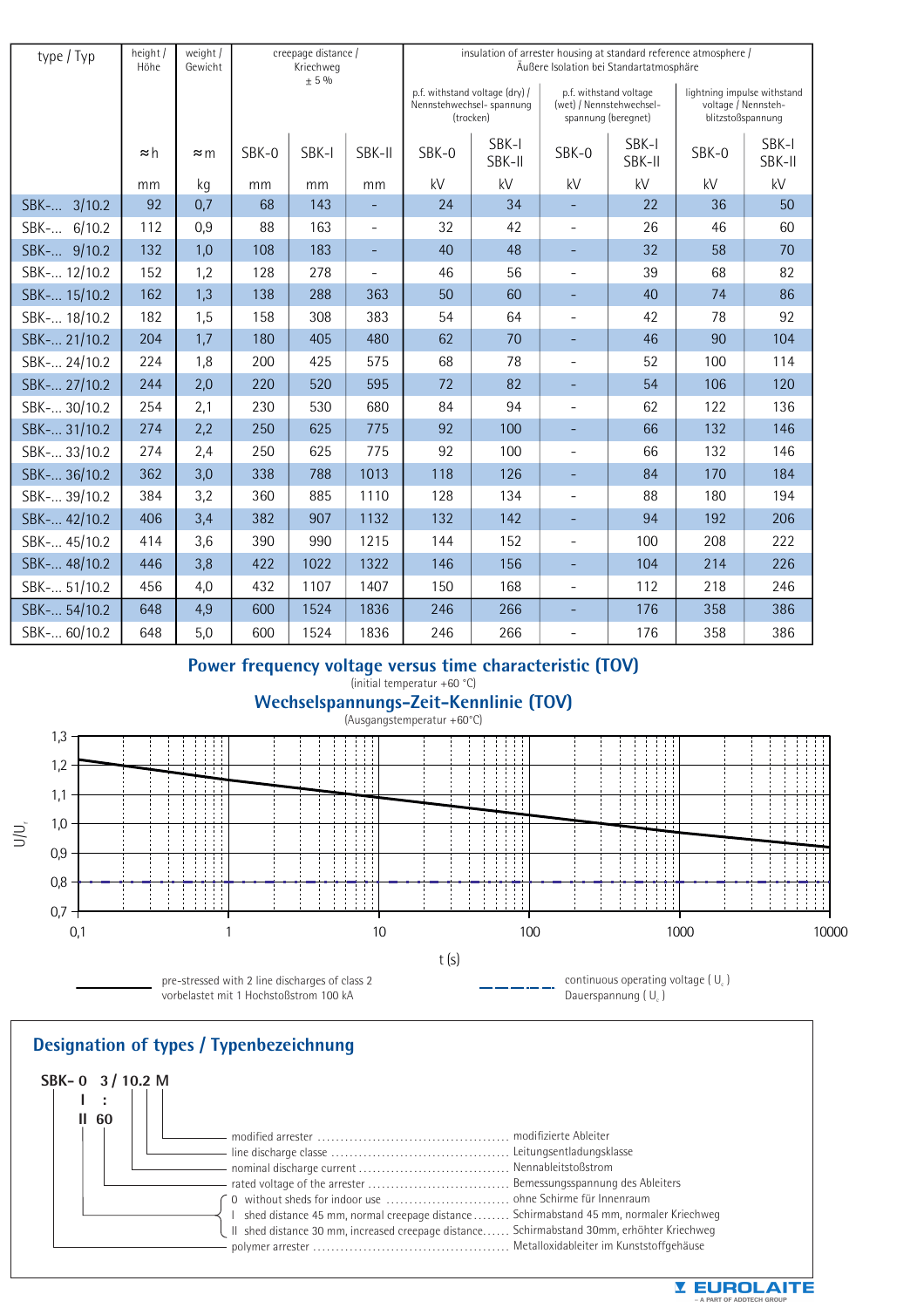| type / Typ   | height /<br>Höhe | weight /<br>Gewicht | creepage distance /<br>Kriechweg<br>± 5% |       |                          | insulation of arrester housing at standard reference atmosphere /<br>Äußere Isolation bei Standartatmosphäre |                 |                                                                           |                 |                                                                         |                 |
|--------------|------------------|---------------------|------------------------------------------|-------|--------------------------|--------------------------------------------------------------------------------------------------------------|-----------------|---------------------------------------------------------------------------|-----------------|-------------------------------------------------------------------------|-----------------|
|              |                  |                     |                                          |       |                          | p.f. withstand voltage (dry) /<br>Nennstehwechsel- spannung<br>(trocken)                                     |                 | p.f. withstand voltage<br>(wet) / Nennstehwechsel-<br>spannung (beregnet) |                 | lightning impulse withstand<br>voltage / Nennsteh-<br>blitzstoßspannung |                 |
|              | ≈h               | $\approx$ m         | SBK-0                                    | SBK-I | SBK-II                   | SBK-0                                                                                                        | SBK-I<br>SBK-II | SBK-0                                                                     | SBK-I<br>SBK-II | SBK-0                                                                   | SBK-I<br>SBK-II |
|              | mm               | kg                  | mm                                       | mm    | mm                       | kV                                                                                                           | kV              | kV                                                                        | kV              | kV                                                                      | kV              |
| SBK- 3/10.2  | 92               | 0,7                 | 68                                       | 143   |                          | 24                                                                                                           | 34              |                                                                           | 22              | 36                                                                      | 50              |
| SBK- 6/10.2  | 112              | 0,9                 | 88                                       | 163   |                          | 32                                                                                                           | 42              |                                                                           | 26              | 46                                                                      | 60              |
| SBK- 9/10.2  | 132              | 1,0                 | 108                                      | 183   | $\overline{\phantom{a}}$ | 40                                                                                                           | 48              |                                                                           | 32              | 58                                                                      | 70              |
| SBK- 12/10.2 | 152              | 1,2                 | 128                                      | 278   |                          | 46                                                                                                           | 56              |                                                                           | 39              | 68                                                                      | 82              |
| SBK- 15/10.2 | 162              | 1,3                 | 138                                      | 288   | 363                      | 50                                                                                                           | 60              |                                                                           | 40              | 74                                                                      | 86              |
| SBK- 18/10.2 | 182              | 1,5                 | 158                                      | 308   | 383                      | 54                                                                                                           | 64              |                                                                           | 42              | 78                                                                      | 92              |
| SBK- 21/10.2 | 204              | 1,7                 | 180                                      | 405   | 480                      | 62                                                                                                           | 70              |                                                                           | 46              | 90                                                                      | 104             |
| SBK- 24/10.2 | 224              | 1,8                 | 200                                      | 425   | 575                      | 68                                                                                                           | 78              |                                                                           | 52              | 100                                                                     | 114             |
| SBK- 27/10.2 | 244              | 2,0                 | 220                                      | 520   | 595                      | 72                                                                                                           | 82              | $\overline{\phantom{a}}$                                                  | 54              | 106                                                                     | 120             |
| SBK- 30/10.2 | 254              | 2,1                 | 230                                      | 530   | 680                      | 84                                                                                                           | 94              |                                                                           | 62              | 122                                                                     | 136             |
| SBK- 31/10.2 | 274              | 2,2                 | 250                                      | 625   | 775                      | 92                                                                                                           | 100             | $\equiv$                                                                  | 66              | 132                                                                     | 146             |
| SBK- 33/10.2 | 274              | 2,4                 | 250                                      | 625   | 775                      | 92                                                                                                           | 100             |                                                                           | 66              | 132                                                                     | 146             |
| SBK- 36/10.2 | 362              | 3,0                 | 338                                      | 788   | 1013                     | 118                                                                                                          | 126             |                                                                           | 84              | 170                                                                     | 184             |
| SBK- 39/10.2 | 384              | 3,2                 | 360                                      | 885   | 1110                     | 128                                                                                                          | 134             |                                                                           | 88              | 180                                                                     | 194             |
| SBK- 42/10.2 | 406              | 3,4                 | 382                                      | 907   | 1132                     | 132                                                                                                          | 142             |                                                                           | 94              | 192                                                                     | 206             |
| SBK- 45/10.2 | 414              | 3,6                 | 390                                      | 990   | 1215                     | 144                                                                                                          | 152             |                                                                           | 100             | 208                                                                     | 222             |
| SBK- 48/10.2 | 446              | 3,8                 | 422                                      | 1022  | 1322                     | 146                                                                                                          | 156             |                                                                           | 104             | 214                                                                     | 226             |
| SBK- 51/10.2 | 456              | 4,0                 | 432                                      | 1107  | 1407                     | 150                                                                                                          | 168             |                                                                           | 112             | 218                                                                     | 246             |
| SBK- 54/10.2 | 648              | 4,9                 | 600                                      | 1524  | 1836                     | 246                                                                                                          | 266             |                                                                           | 176             | 358                                                                     | 386             |
| SBK- 60/10.2 | 648              | 5,0                 | 600                                      | 1524  | 1836                     | 246                                                                                                          | 266             |                                                                           | 176             | 358                                                                     | 386             |
|              |                  |                     |                                          |       |                          | Power frequency voltage versus time characteristic (TOV)                                                     |                 |                                                                           |                 |                                                                         |                 |
|              |                  |                     |                                          |       |                          | (initial temperatur +60 °C)                                                                                  |                 |                                                                           |                 |                                                                         |                 |
|              |                  |                     |                                          |       |                          | <b>Wechselspannungs-Zeit-Kennlinie (TOV)</b><br>(Ausgangstemperatur +60°C)                                   |                 |                                                                           |                 |                                                                         |                 |
| 1,3          |                  |                     |                                          |       |                          |                                                                                                              |                 |                                                                           |                 |                                                                         |                 |
| 1,2          |                  |                     |                                          |       |                          |                                                                                                              |                 |                                                                           |                 |                                                                         |                 |
|              |                  |                     |                                          |       |                          |                                                                                                              |                 |                                                                           |                 |                                                                         |                 |
| 1,1          |                  |                     |                                          |       |                          |                                                                                                              |                 |                                                                           |                 |                                                                         |                 |
| 1,0<br>ミニ    |                  |                     |                                          |       |                          |                                                                                                              |                 |                                                                           |                 |                                                                         |                 |

# **Power frequency voltage versus time characteristic (TOV)** (initial temperatur +60 °C)